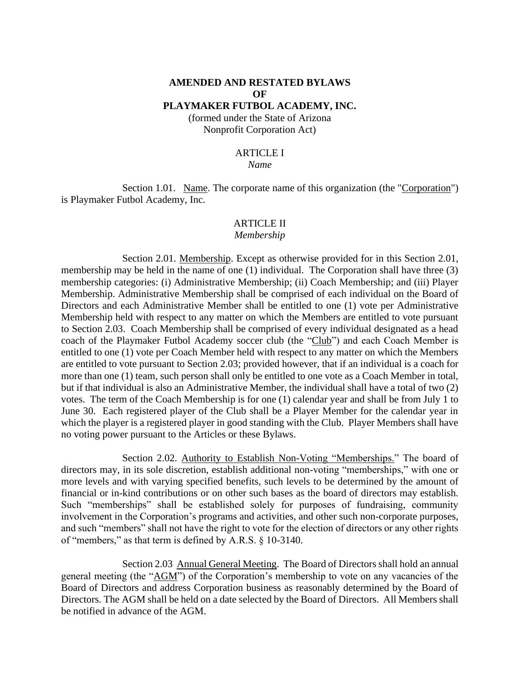# **AMENDED AND RESTATED BYLAWS OF**

# **PLAYMAKER FUTBOL ACADEMY, INC.**

(formed under the State of Arizona Nonprofit Corporation Act)

#### ARTICLE I

#### *Name*

Section 1.01. Name. The corporate name of this organization (the "Corporation") is Playmaker Futbol Academy, Inc.

#### ARTICLE II

#### *Membership*

Section 2.01. Membership. Except as otherwise provided for in this Section 2.01, membership may be held in the name of one (1) individual. The Corporation shall have three (3) membership categories: (i) Administrative Membership; (ii) Coach Membership; and (iii) Player Membership. Administrative Membership shall be comprised of each individual on the Board of Directors and each Administrative Member shall be entitled to one (1) vote per Administrative Membership held with respect to any matter on which the Members are entitled to vote pursuant to Section 2.03. Coach Membership shall be comprised of every individual designated as a head coach of the Playmaker Futbol Academy soccer club (the "Club") and each Coach Member is entitled to one (1) vote per Coach Member held with respect to any matter on which the Members are entitled to vote pursuant to Section 2.03; provided however, that if an individual is a coach for more than one (1) team, such person shall only be entitled to one vote as a Coach Member in total, but if that individual is also an Administrative Member, the individual shall have a total of two (2) votes. The term of the Coach Membership is for one (1) calendar year and shall be from July 1 to June 30. Each registered player of the Club shall be a Player Member for the calendar year in which the player is a registered player in good standing with the Club. Player Members shall have no voting power pursuant to the Articles or these Bylaws.

Section 2.02. Authority to Establish Non-Voting "Memberships." The board of directors may, in its sole discretion, establish additional non-voting "memberships," with one or more levels and with varying specified benefits, such levels to be determined by the amount of financial or in-kind contributions or on other such bases as the board of directors may establish. Such "memberships" shall be established solely for purposes of fundraising, community involvement in the Corporation's programs and activities, and other such non-corporate purposes, and such "members" shall not have the right to vote for the election of directors or any other rights of "members," as that term is defined by A.R.S. § 10-3140.

Section 2.03 Annual General Meeting. The Board of Directors shall hold an annual general meeting (the "AGM") of the Corporation's membership to vote on any vacancies of the Board of Directors and address Corporation business as reasonably determined by the Board of Directors. The AGM shall be held on a date selected by the Board of Directors. All Members shall be notified in advance of the AGM.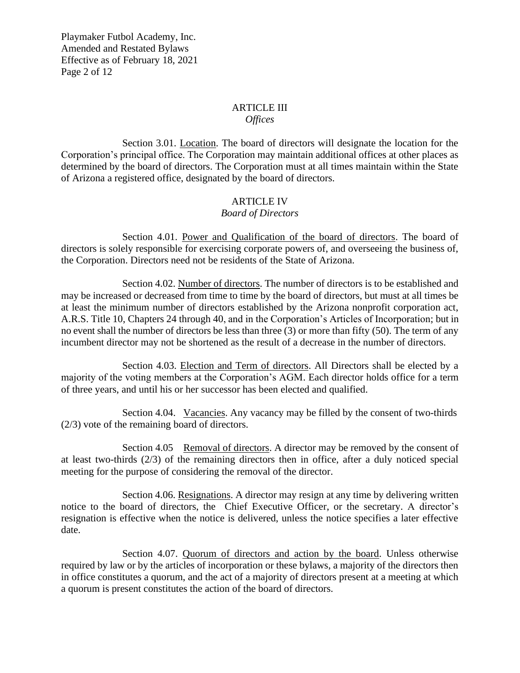Playmaker Futbol Academy, Inc. Amended and Restated Bylaws Effective as of February 18, 2021 Page 2 of 12

## ARTICLE III

#### *Offices*

Section 3.01. Location. The board of directors will designate the location for the Corporation's principal office. The Corporation may maintain additional offices at other places as determined by the board of directors. The Corporation must at all times maintain within the State of Arizona a registered office, designated by the board of directors.

## ARTICLE IV

## *Board of Directors*

Section 4.01. Power and Qualification of the board of directors. The board of directors is solely responsible for exercising corporate powers of, and overseeing the business of, the Corporation. Directors need not be residents of the State of Arizona.

Section 4.02. Number of directors. The number of directors is to be established and may be increased or decreased from time to time by the board of directors, but must at all times be at least the minimum number of directors established by the Arizona nonprofit corporation act, A.R.S. Title 10, Chapters 24 through 40, and in the Corporation's Articles of Incorporation; but in no event shall the number of directors be less than three (3) or more than fifty (50). The term of any incumbent director may not be shortened as the result of a decrease in the number of directors.

Section 4.03. Election and Term of directors. All Directors shall be elected by a majority of the voting members at the Corporation's AGM. Each director holds office for a term of three years, and until his or her successor has been elected and qualified.

Section 4.04. Vacancies. Any vacancy may be filled by the consent of two-thirds (2/3) vote of the remaining board of directors.

Section 4.05 Removal of directors. A director may be removed by the consent of at least two-thirds (2/3) of the remaining directors then in office, after a duly noticed special meeting for the purpose of considering the removal of the director.

Section 4.06. Resignations. A director may resign at any time by delivering written notice to the board of directors, the Chief Executive Officer, or the secretary. A director's resignation is effective when the notice is delivered, unless the notice specifies a later effective date.

Section 4.07. Quorum of directors and action by the board. Unless otherwise required by law or by the articles of incorporation or these bylaws, a majority of the directors then in office constitutes a quorum, and the act of a majority of directors present at a meeting at which a quorum is present constitutes the action of the board of directors.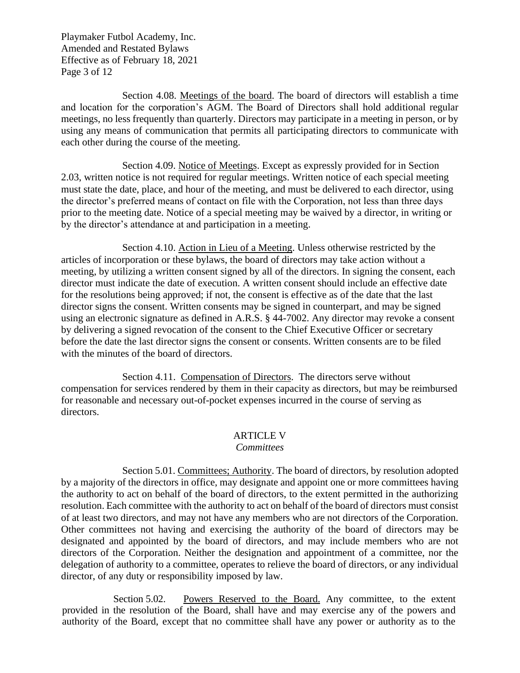Playmaker Futbol Academy, Inc. Amended and Restated Bylaws Effective as of February 18, 2021 Page 3 of 12

Section 4.08. Meetings of the board. The board of directors will establish a time and location for the corporation's AGM. The Board of Directors shall hold additional regular meetings, no less frequently than quarterly. Directors may participate in a meeting in person, or by using any means of communication that permits all participating directors to communicate with each other during the course of the meeting.

Section 4.09. Notice of Meetings. Except as expressly provided for in Section 2.03, written notice is not required for regular meetings. Written notice of each special meeting must state the date, place, and hour of the meeting, and must be delivered to each director, using the director's preferred means of contact on file with the Corporation, not less than three days prior to the meeting date. Notice of a special meeting may be waived by a director, in writing or by the director's attendance at and participation in a meeting.

Section 4.10. Action in Lieu of a Meeting. Unless otherwise restricted by the articles of incorporation or these bylaws, the board of directors may take action without a meeting, by utilizing a written consent signed by all of the directors. In signing the consent, each director must indicate the date of execution. A written consent should include an effective date for the resolutions being approved; if not, the consent is effective as of the date that the last director signs the consent. Written consents may be signed in counterpart, and may be signed using an electronic signature as defined in A.R.S. § 44-7002. Any director may revoke a consent by delivering a signed revocation of the consent to the Chief Executive Officer or secretary before the date the last director signs the consent or consents. Written consents are to be filed with the minutes of the board of directors.

Section 4.11. Compensation of Directors. The directors serve without compensation for services rendered by them in their capacity as directors, but may be reimbursed for reasonable and necessary out-of-pocket expenses incurred in the course of serving as directors.

## ARTICLE V

#### *Committees*

Section 5.01. Committees; Authority. The board of directors, by resolution adopted by a majority of the directors in office, may designate and appoint one or more committees having the authority to act on behalf of the board of directors, to the extent permitted in the authorizing resolution. Each committee with the authority to act on behalf of the board of directors must consist of at least two directors, and may not have any members who are not directors of the Corporation. Other committees not having and exercising the authority of the board of directors may be designated and appointed by the board of directors, and may include members who are not directors of the Corporation. Neither the designation and appointment of a committee, nor the delegation of authority to a committee, operates to relieve the board of directors, or any individual director, of any duty or responsibility imposed by law.

Section 5.02. Powers Reserved to the Board. Any committee, to the extent provided in the resolution of the Board, shall have and may exercise any of the powers and authority of the Board, except that no committee shall have any power or authority as to the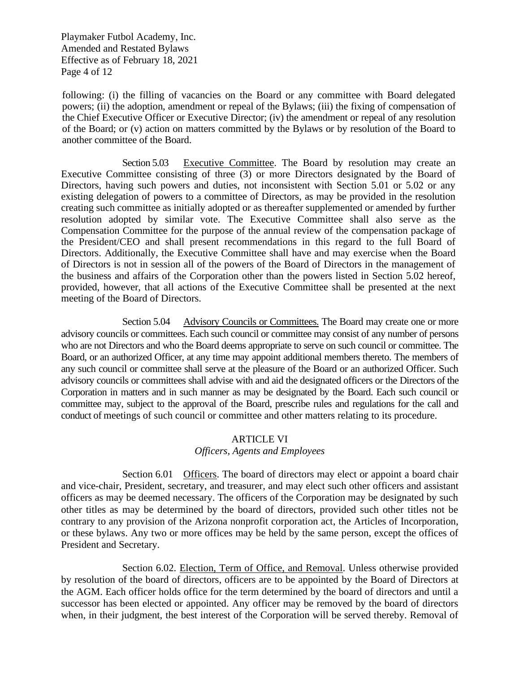Playmaker Futbol Academy, Inc. Amended and Restated Bylaws Effective as of February 18, 2021 Page 4 of 12

following: (i) the filling of vacancies on the Board or any committee with Board delegated powers; (ii) the adoption, amendment or repeal of the Bylaws; (iii) the fixing of compensation of the Chief Executive Officer or Executive Director; (iv) the amendment or repeal of any resolution of the Board; or (v) action on matters committed by the Bylaws or by resolution of the Board to another committee of the Board.

Section 5.03 Executive Committee. The Board by resolution may create an Executive Committee consisting of three (3) or more Directors designated by the Board of Directors, having such powers and duties, not inconsistent with Section 5.01 or 5.02 or any existing delegation of powers to a committee of Directors, as may be provided in the resolution creating such committee as initially adopted or as thereafter supplemented or amended by further resolution adopted by similar vote. The Executive Committee shall also serve as the Compensation Committee for the purpose of the annual review of the compensation package of the President/CEO and shall present recommendations in this regard to the full Board of Directors. Additionally, the Executive Committee shall have and may exercise when the Board of Directors is not in session all of the powers of the Board of Directors in the management of the business and affairs of the Corporation other than the powers listed in Section 5.02 hereof, provided, however, that all actions of the Executive Committee shall be presented at the next meeting of the Board of Directors.

Section 5.04 Advisory Councils or Committees. The Board may create one or more advisory councils or committees. Each such council or committee may consist of any number of persons who are not Directors and who the Board deems appropriate to serve on such council or committee. The Board, or an authorized Officer, at any time may appoint additional members thereto. The members of any such council or committee shall serve at the pleasure of the Board or an authorized Officer. Such advisory councils or committees shall advise with and aid the designated officers or the Directors of the Corporation in matters and in such manner as may be designated by the Board. Each such council or committee may, subject to the approval of the Board, prescribe rules and regulations for the call and conduct of meetings of such council or committee and other matters relating to its procedure.

#### ARTICLE VI

## *Officers, Agents and Employees*

Section 6.01 Officers. The board of directors may elect or appoint a board chair and vice-chair, President, secretary, and treasurer, and may elect such other officers and assistant officers as may be deemed necessary. The officers of the Corporation may be designated by such other titles as may be determined by the board of directors, provided such other titles not be contrary to any provision of the Arizona nonprofit corporation act, the Articles of Incorporation, or these bylaws. Any two or more offices may be held by the same person, except the offices of President and Secretary.

Section 6.02. Election, Term of Office, and Removal. Unless otherwise provided by resolution of the board of directors, officers are to be appointed by the Board of Directors at the AGM. Each officer holds office for the term determined by the board of directors and until a successor has been elected or appointed. Any officer may be removed by the board of directors when, in their judgment, the best interest of the Corporation will be served thereby. Removal of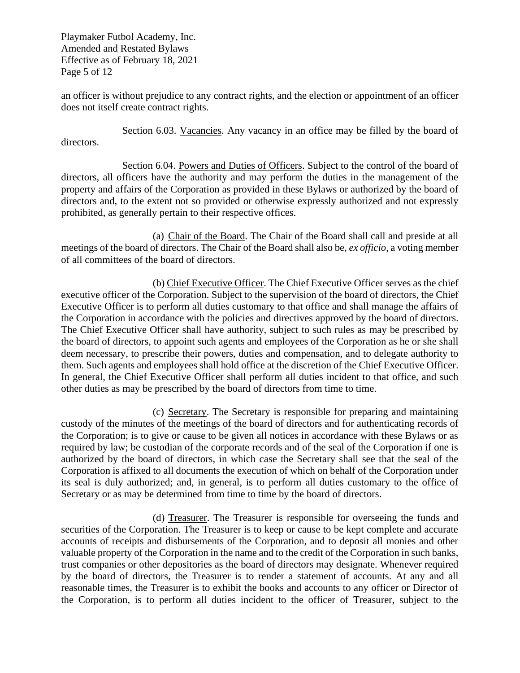Playmaker Futbol Academy, Inc. Amended and Restated Bylaws Effective as of February 18, 2021 Page 5 of 12

an officer is without prejudice to any contract rights, and the election or appointment of an officer does not itself create contract rights.

Section 6.03. Vacancies. Any vacancy in an office may be filled by the board of directors.

Section 6.04. Powers and Duties of Officers. Subject to the control of the board of directors, all officers have the authority and may perform the duties in the management of the property and affairs of the Corporation as provided in these Bylaws or authorized by the board of directors and, to the extent not so provided or otherwise expressly authorized and not expressly prohibited, as generally pertain to their respective offices.

(a) Chair of the Board. The Chair of the Board shall call and preside at all meetings of the board of directors. The Chair of the Board shall also be, *ex officio*, a voting member of all committees of the board of directors.

(b) Chief Executive Officer. The Chief Executive Officer serves as the chief executive officer of the Corporation. Subject to the supervision of the board of directors, the Chief Executive Officer is to perform all duties customary to that office and shall manage the affairs of the Corporation in accordance with the policies and directives approved by the board of directors. The Chief Executive Officer shall have authority, subject to such rules as may be prescribed by the board of directors, to appoint such agents and employees of the Corporation as he or she shall deem necessary, to prescribe their powers, duties and compensation, and to delegate authority to them. Such agents and employees shall hold office at the discretion of the Chief Executive Officer. In general, the Chief Executive Officer shall perform all duties incident to that office, and such other duties as may be prescribed by the board of directors from time to time.

(c) Secretary. The Secretary is responsible for preparing and maintaining custody of the minutes of the meetings of the board of directors and for authenticating records of the Corporation; is to give or cause to be given all notices in accordance with these Bylaws or as required by law; be custodian of the corporate records and of the seal of the Corporation if one is authorized by the board of directors, in which case the Secretary shall see that the seal of the Corporation is affixed to all documents the execution of which on behalf of the Corporation under its seal is duly authorized; and, in general, is to perform all duties customary to the office of Secretary or as may be determined from time to time by the board of directors.

(d) Treasurer. The Treasurer is responsible for overseeing the funds and securities of the Corporation. The Treasurer is to keep or cause to be kept complete and accurate accounts of receipts and disbursements of the Corporation, and to deposit all monies and other valuable property of the Corporation in the name and to the credit of the Corporation in such banks, trust companies or other depositories as the board of directors may designate. Whenever required by the board of directors, the Treasurer is to render a statement of accounts. At any and all reasonable times, the Treasurer is to exhibit the books and accounts to any officer or Director of the Corporation, is to perform all duties incident to the officer of Treasurer, subject to the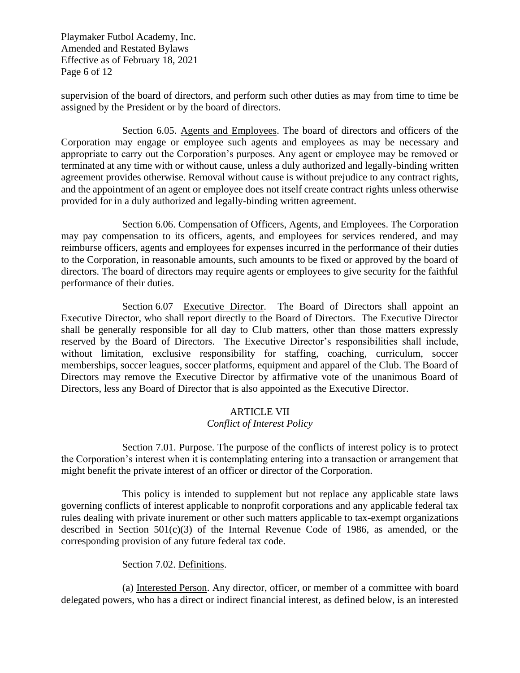Playmaker Futbol Academy, Inc. Amended and Restated Bylaws Effective as of February 18, 2021 Page 6 of 12

supervision of the board of directors, and perform such other duties as may from time to time be assigned by the President or by the board of directors.

Section 6.05. Agents and Employees. The board of directors and officers of the Corporation may engage or employee such agents and employees as may be necessary and appropriate to carry out the Corporation's purposes. Any agent or employee may be removed or terminated at any time with or without cause, unless a duly authorized and legally-binding written agreement provides otherwise. Removal without cause is without prejudice to any contract rights, and the appointment of an agent or employee does not itself create contract rights unless otherwise provided for in a duly authorized and legally-binding written agreement.

Section 6.06. Compensation of Officers, Agents, and Employees. The Corporation may pay compensation to its officers, agents, and employees for services rendered, and may reimburse officers, agents and employees for expenses incurred in the performance of their duties to the Corporation, in reasonable amounts, such amounts to be fixed or approved by the board of directors. The board of directors may require agents or employees to give security for the faithful performance of their duties.

Section 6.07 Executive Director. The Board of Directors shall appoint an Executive Director, who shall report directly to the Board of Directors. The Executive Director shall be generally responsible for all day to Club matters, other than those matters expressly reserved by the Board of Directors. The Executive Director's responsibilities shall include, without limitation, exclusive responsibility for staffing, coaching, curriculum, soccer memberships, soccer leagues, soccer platforms, equipment and apparel of the Club. The Board of Directors may remove the Executive Director by affirmative vote of the unanimous Board of Directors, less any Board of Director that is also appointed as the Executive Director.

## ARTICLE VII *Conflict of Interest Policy*

Section 7.01. Purpose. The purpose of the conflicts of interest policy is to protect the Corporation's interest when it is contemplating entering into a transaction or arrangement that might benefit the private interest of an officer or director of the Corporation.

This policy is intended to supplement but not replace any applicable state laws governing conflicts of interest applicable to nonprofit corporations and any applicable federal tax rules dealing with private inurement or other such matters applicable to tax-exempt organizations described in Section 501(c)(3) of the Internal Revenue Code of 1986, as amended, or the corresponding provision of any future federal tax code.

## Section 7.02. Definitions.

(a) Interested Person. Any director, officer, or member of a committee with board delegated powers, who has a direct or indirect financial interest, as defined below, is an interested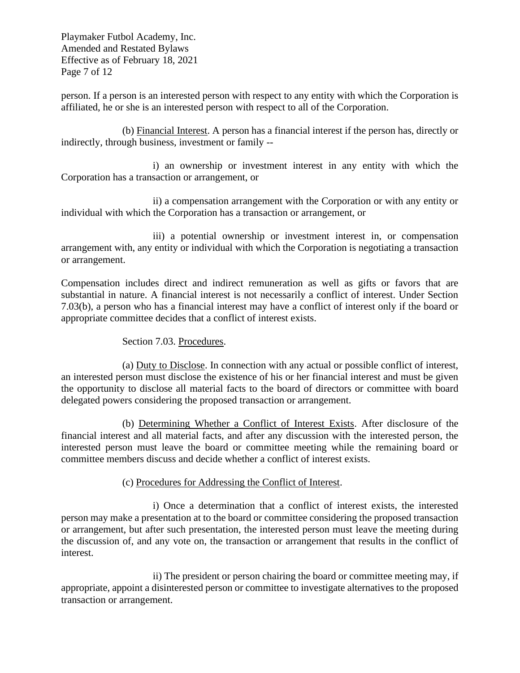Playmaker Futbol Academy, Inc. Amended and Restated Bylaws Effective as of February 18, 2021 Page 7 of 12

person. If a person is an interested person with respect to any entity with which the Corporation is affiliated, he or she is an interested person with respect to all of the Corporation.

(b) Financial Interest. A person has a financial interest if the person has, directly or indirectly, through business, investment or family --

i) an ownership or investment interest in any entity with which the Corporation has a transaction or arrangement, or

ii) a compensation arrangement with the Corporation or with any entity or individual with which the Corporation has a transaction or arrangement, or

iii) a potential ownership or investment interest in, or compensation arrangement with, any entity or individual with which the Corporation is negotiating a transaction or arrangement.

Compensation includes direct and indirect remuneration as well as gifts or favors that are substantial in nature. A financial interest is not necessarily a conflict of interest. Under Section 7.03(b), a person who has a financial interest may have a conflict of interest only if the board or appropriate committee decides that a conflict of interest exists.

Section 7.03. Procedures.

(a) Duty to Disclose. In connection with any actual or possible conflict of interest, an interested person must disclose the existence of his or her financial interest and must be given the opportunity to disclose all material facts to the board of directors or committee with board delegated powers considering the proposed transaction or arrangement.

(b) Determining Whether a Conflict of Interest Exists. After disclosure of the financial interest and all material facts, and after any discussion with the interested person, the interested person must leave the board or committee meeting while the remaining board or committee members discuss and decide whether a conflict of interest exists.

(c) Procedures for Addressing the Conflict of Interest.

i) Once a determination that a conflict of interest exists, the interested person may make a presentation at to the board or committee considering the proposed transaction or arrangement, but after such presentation, the interested person must leave the meeting during the discussion of, and any vote on, the transaction or arrangement that results in the conflict of interest.

ii) The president or person chairing the board or committee meeting may, if appropriate, appoint a disinterested person or committee to investigate alternatives to the proposed transaction or arrangement.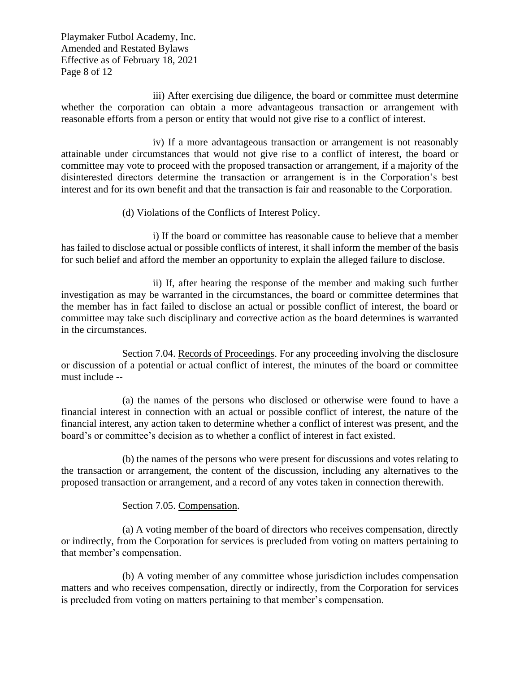Playmaker Futbol Academy, Inc. Amended and Restated Bylaws Effective as of February 18, 2021 Page 8 of 12

iii) After exercising due diligence, the board or committee must determine whether the corporation can obtain a more advantageous transaction or arrangement with reasonable efforts from a person or entity that would not give rise to a conflict of interest.

iv) If a more advantageous transaction or arrangement is not reasonably attainable under circumstances that would not give rise to a conflict of interest, the board or committee may vote to proceed with the proposed transaction or arrangement, if a majority of the disinterested directors determine the transaction or arrangement is in the Corporation's best interest and for its own benefit and that the transaction is fair and reasonable to the Corporation.

(d) Violations of the Conflicts of Interest Policy.

i) If the board or committee has reasonable cause to believe that a member has failed to disclose actual or possible conflicts of interest, it shall inform the member of the basis for such belief and afford the member an opportunity to explain the alleged failure to disclose.

ii) If, after hearing the response of the member and making such further investigation as may be warranted in the circumstances, the board or committee determines that the member has in fact failed to disclose an actual or possible conflict of interest, the board or committee may take such disciplinary and corrective action as the board determines is warranted in the circumstances.

Section 7.04. Records of Proceedings. For any proceeding involving the disclosure or discussion of a potential or actual conflict of interest, the minutes of the board or committee must include --

(a) the names of the persons who disclosed or otherwise were found to have a financial interest in connection with an actual or possible conflict of interest, the nature of the financial interest, any action taken to determine whether a conflict of interest was present, and the board's or committee's decision as to whether a conflict of interest in fact existed.

(b) the names of the persons who were present for discussions and votes relating to the transaction or arrangement, the content of the discussion, including any alternatives to the proposed transaction or arrangement, and a record of any votes taken in connection therewith.

## Section 7.05. Compensation.

(a) A voting member of the board of directors who receives compensation, directly or indirectly, from the Corporation for services is precluded from voting on matters pertaining to that member's compensation.

(b) A voting member of any committee whose jurisdiction includes compensation matters and who receives compensation, directly or indirectly, from the Corporation for services is precluded from voting on matters pertaining to that member's compensation.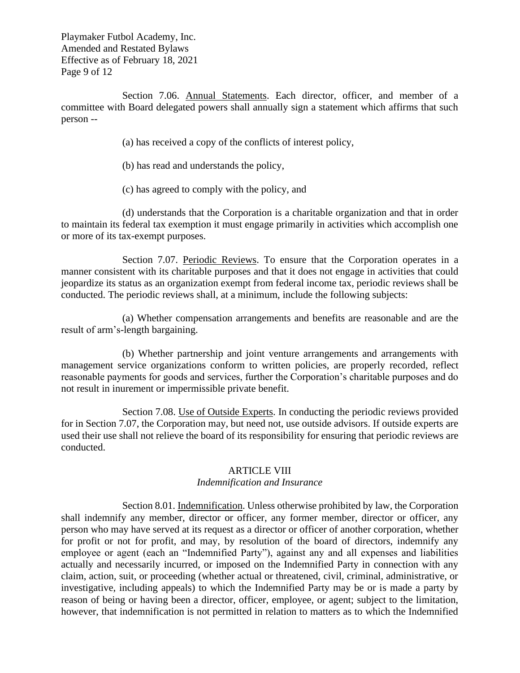Playmaker Futbol Academy, Inc. Amended and Restated Bylaws Effective as of February 18, 2021 Page 9 of 12

Section 7.06. Annual Statements. Each director, officer, and member of a committee with Board delegated powers shall annually sign a statement which affirms that such person --

(a) has received a copy of the conflicts of interest policy,

- (b) has read and understands the policy,
- (c) has agreed to comply with the policy, and

(d) understands that the Corporation is a charitable organization and that in order to maintain its federal tax exemption it must engage primarily in activities which accomplish one or more of its tax-exempt purposes.

Section 7.07. Periodic Reviews. To ensure that the Corporation operates in a manner consistent with its charitable purposes and that it does not engage in activities that could jeopardize its status as an organization exempt from federal income tax, periodic reviews shall be conducted. The periodic reviews shall, at a minimum, include the following subjects:

(a) Whether compensation arrangements and benefits are reasonable and are the result of arm's-length bargaining.

(b) Whether partnership and joint venture arrangements and arrangements with management service organizations conform to written policies, are properly recorded, reflect reasonable payments for goods and services, further the Corporation's charitable purposes and do not result in inurement or impermissible private benefit.

Section 7.08. Use of Outside Experts. In conducting the periodic reviews provided for in Section 7.07, the Corporation may, but need not, use outside advisors. If outside experts are used their use shall not relieve the board of its responsibility for ensuring that periodic reviews are conducted.

## ARTICLE VIII

## *Indemnification and Insurance*

Section 8.01. Indemnification. Unless otherwise prohibited by law, the Corporation shall indemnify any member, director or officer, any former member, director or officer, any person who may have served at its request as a director or officer of another corporation, whether for profit or not for profit, and may, by resolution of the board of directors, indemnify any employee or agent (each an "Indemnified Party"), against any and all expenses and liabilities actually and necessarily incurred, or imposed on the Indemnified Party in connection with any claim, action, suit, or proceeding (whether actual or threatened, civil, criminal, administrative, or investigative, including appeals) to which the Indemnified Party may be or is made a party by reason of being or having been a director, officer, employee, or agent; subject to the limitation, however, that indemnification is not permitted in relation to matters as to which the Indemnified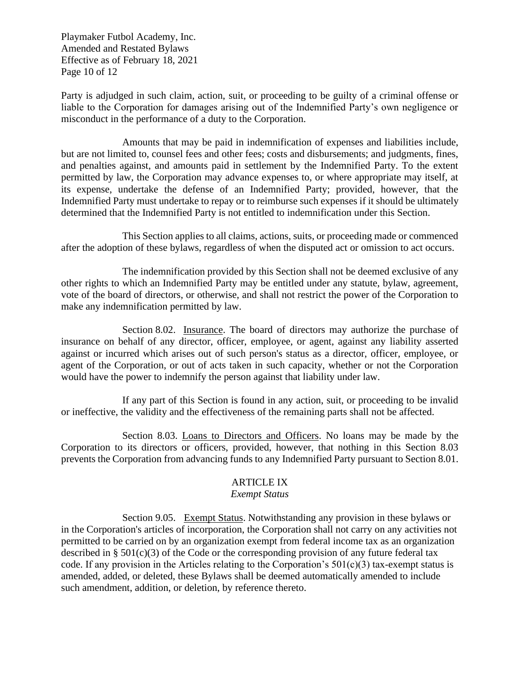Playmaker Futbol Academy, Inc. Amended and Restated Bylaws Effective as of February 18, 2021 Page 10 of 12

Party is adjudged in such claim, action, suit, or proceeding to be guilty of a criminal offense or liable to the Corporation for damages arising out of the Indemnified Party's own negligence or misconduct in the performance of a duty to the Corporation.

Amounts that may be paid in indemnification of expenses and liabilities include, but are not limited to, counsel fees and other fees; costs and disbursements; and judgments, fines, and penalties against, and amounts paid in settlement by the Indemnified Party. To the extent permitted by law, the Corporation may advance expenses to, or where appropriate may itself, at its expense, undertake the defense of an Indemnified Party; provided, however, that the Indemnified Party must undertake to repay or to reimburse such expenses if it should be ultimately determined that the Indemnified Party is not entitled to indemnification under this Section.

This Section applies to all claims, actions, suits, or proceeding made or commenced after the adoption of these bylaws, regardless of when the disputed act or omission to act occurs.

The indemnification provided by this Section shall not be deemed exclusive of any other rights to which an Indemnified Party may be entitled under any statute, bylaw, agreement, vote of the board of directors, or otherwise, and shall not restrict the power of the Corporation to make any indemnification permitted by law.

Section 8.02. Insurance. The board of directors may authorize the purchase of insurance on behalf of any director, officer, employee, or agent, against any liability asserted against or incurred which arises out of such person's status as a director, officer, employee, or agent of the Corporation, or out of acts taken in such capacity, whether or not the Corporation would have the power to indemnify the person against that liability under law.

If any part of this Section is found in any action, suit, or proceeding to be invalid or ineffective, the validity and the effectiveness of the remaining parts shall not be affected.

Section 8.03. Loans to Directors and Officers. No loans may be made by the Corporation to its directors or officers, provided, however, that nothing in this Section 8.03 prevents the Corporation from advancing funds to any Indemnified Party pursuant to Section 8.01.

## ARTICLE IX

## *Exempt Status*

Section 9.05. Exempt Status. Notwithstanding any provision in these bylaws or in the Corporation's articles of incorporation, the Corporation shall not carry on any activities not permitted to be carried on by an organization exempt from federal income tax as an organization described in § 501(c)(3) of the Code or the corresponding provision of any future federal tax code. If any provision in the Articles relating to the Corporation's  $501(c)(3)$  tax-exempt status is amended, added, or deleted, these Bylaws shall be deemed automatically amended to include such amendment, addition, or deletion, by reference thereto.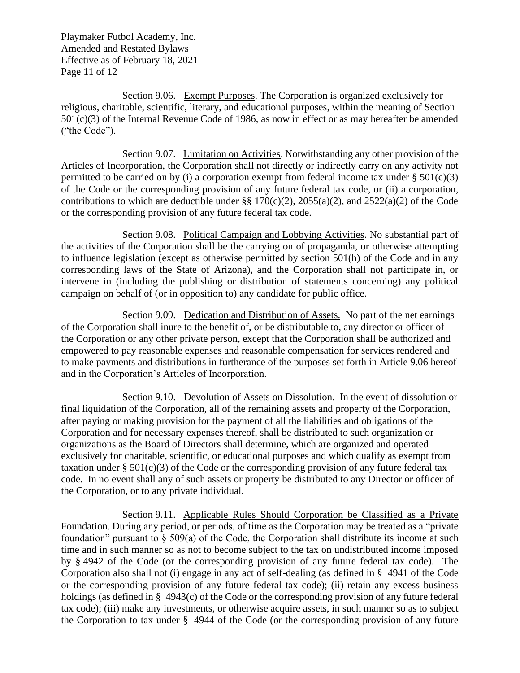Playmaker Futbol Academy, Inc. Amended and Restated Bylaws Effective as of February 18, 2021 Page 11 of 12

Section 9.06. Exempt Purposes. The Corporation is organized exclusively for religious, charitable, scientific, literary, and educational purposes, within the meaning of Section 501(c)(3) of the Internal Revenue Code of 1986, as now in effect or as may hereafter be amended ("the Code").

Section 9.07. Limitation on Activities. Notwithstanding any other provision of the Articles of Incorporation, the Corporation shall not directly or indirectly carry on any activity not permitted to be carried on by (i) a corporation exempt from federal income tax under  $\S 501(c)(3)$ of the Code or the corresponding provision of any future federal tax code, or (ii) a corporation, contributions to which are deductible under  $\S$ § 170(c)(2), 2055(a)(2), and 2522(a)(2) of the Code or the corresponding provision of any future federal tax code.

Section 9.08. Political Campaign and Lobbying Activities. No substantial part of the activities of the Corporation shall be the carrying on of propaganda, or otherwise attempting to influence legislation (except as otherwise permitted by section 501(h) of the Code and in any corresponding laws of the State of Arizona), and the Corporation shall not participate in, or intervene in (including the publishing or distribution of statements concerning) any political campaign on behalf of (or in opposition to) any candidate for public office.

Section 9.09. Dedication and Distribution of Assets. No part of the net earnings of the Corporation shall inure to the benefit of, or be distributable to, any director or officer of the Corporation or any other private person, except that the Corporation shall be authorized and empowered to pay reasonable expenses and reasonable compensation for services rendered and to make payments and distributions in furtherance of the purposes set forth in Article 9.06 hereof and in the Corporation's Articles of Incorporation.

Section 9.10. Devolution of Assets on Dissolution. In the event of dissolution or final liquidation of the Corporation, all of the remaining assets and property of the Corporation, after paying or making provision for the payment of all the liabilities and obligations of the Corporation and for necessary expenses thereof, shall be distributed to such organization or organizations as the Board of Directors shall determine, which are organized and operated exclusively for charitable, scientific, or educational purposes and which qualify as exempt from taxation under §  $501(c)(3)$  of the Code or the corresponding provision of any future federal tax code. In no event shall any of such assets or property be distributed to any Director or officer of the Corporation, or to any private individual.

Section 9.11. Applicable Rules Should Corporation be Classified as a Private Foundation. During any period, or periods, of time as the Corporation may be treated as a "private foundation" pursuant to  $\S$  509(a) of the Code, the Corporation shall distribute its income at such time and in such manner so as not to become subject to the tax on undistributed income imposed by § 4942 of the Code (or the corresponding provision of any future federal tax code). The Corporation also shall not (i) engage in any act of self-dealing (as defined in § 4941 of the Code or the corresponding provision of any future federal tax code); (ii) retain any excess business holdings (as defined in § 4943(c) of the Code or the corresponding provision of any future federal tax code); (iii) make any investments, or otherwise acquire assets, in such manner so as to subject the Corporation to tax under § 4944 of the Code (or the corresponding provision of any future